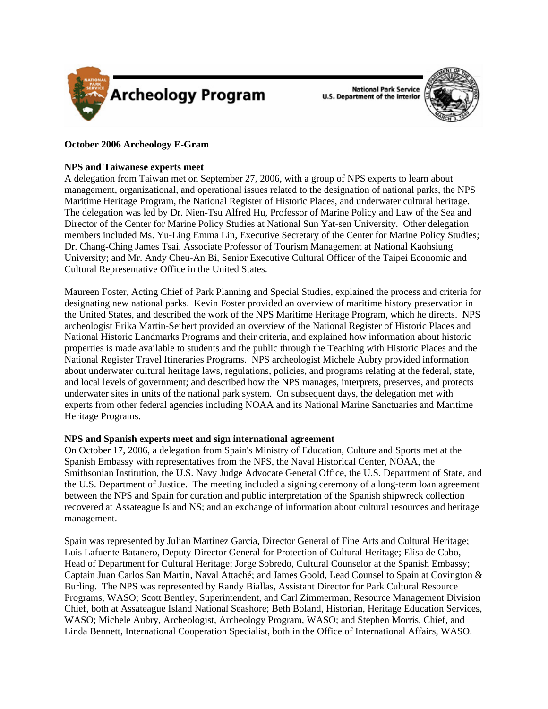

**National Park Service U.S. Department of the Interior** 



# **October 2006 Archeology E-Gram**

#### **NPS and Taiwanese experts meet**

A delegation from Taiwan met on September 27, 2006, with a group of NPS experts to learn about management, organizational, and operational issues related to the designation of national parks, the NPS Maritime Heritage Program, the National Register of Historic Places, and underwater cultural heritage. The delegation was led by Dr. Nien-Tsu Alfred Hu, Professor of Marine Policy and Law of the Sea and Director of the Center for Marine Policy Studies at National Sun Yat-sen University. Other delegation members included Ms. Yu-Ling Emma Lin, Executive Secretary of the Center for Marine Policy Studies; Dr. Chang-Ching James Tsai, Associate Professor of Tourism Management at National Kaohsiung University; and Mr. Andy Cheu-An Bi, Senior Executive Cultural Officer of the Taipei Economic and Cultural Representative Office in the United States.

Maureen Foster, Acting Chief of Park Planning and Special Studies, explained the process and criteria for designating new national parks. Kevin Foster provided an overview of maritime history preservation in the United States, and described the work of the NPS Maritime Heritage Program, which he directs. NPS archeologist Erika Martin-Seibert provided an overview of the National Register of Historic Places and National Historic Landmarks Programs and their criteria, and explained how information about historic properties is made available to students and the public through the Teaching with Historic Places and the National Register Travel Itineraries Programs. NPS archeologist Michele Aubry provided information about underwater cultural heritage laws, regulations, policies, and programs relating at the federal, state, and local levels of government; and described how the NPS manages, interprets, preserves, and protects underwater sites in units of the national park system. On subsequent days, the delegation met with experts from other federal agencies including NOAA and its National Marine Sanctuaries and Maritime Heritage Programs.

## **NPS and Spanish experts meet and sign international agreement**

On October 17, 2006, a delegation from Spain's Ministry of Education, Culture and Sports met at the Spanish Embassy with representatives from the NPS, the Naval Historical Center, NOAA, the Smithsonian Institution, the U.S. Navy Judge Advocate General Office, the U.S. Department of State, and the U.S. Department of Justice. The meeting included a signing ceremony of a long-term loan agreement between the NPS and Spain for curation and public interpretation of the Spanish shipwreck collection recovered at Assateague Island NS; and an exchange of information about cultural resources and heritage management.

Spain was represented by Julian Martinez Garcia, Director General of Fine Arts and Cultural Heritage; Luis Lafuente Batanero, Deputy Director General for Protection of Cultural Heritage; Elisa de Cabo, Head of Department for Cultural Heritage; Jorge Sobredo, Cultural Counselor at the Spanish Embassy; Captain Juan Carlos San Martin, Naval Attaché; and James Goold, Lead Counsel to Spain at Covington & Burling. The NPS was represented by Randy Biallas, Assistant Director for Park Cultural Resource Programs, WASO; Scott Bentley, Superintendent, and Carl Zimmerman, Resource Management Division Chief, both at Assateague Island National Seashore; Beth Boland, Historian, Heritage Education Services, WASO; Michele Aubry, Archeologist, Archeology Program, WASO; and Stephen Morris, Chief, and Linda Bennett, International Cooperation Specialist, both in the Office of International Affairs, WASO.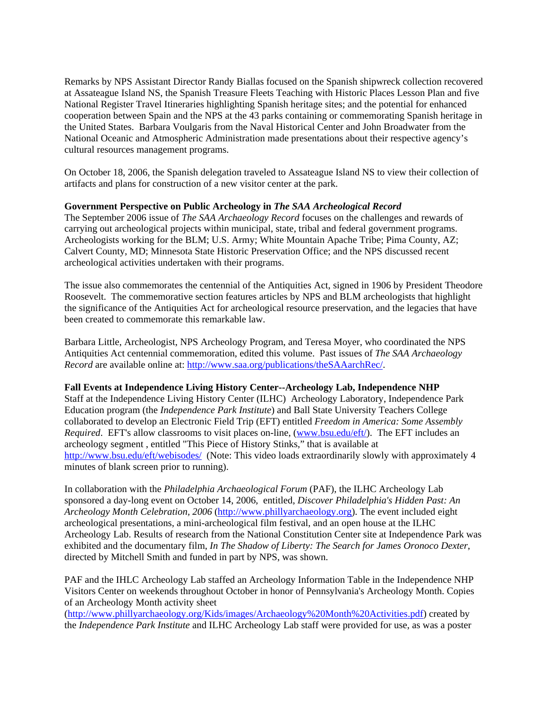Remarks by NPS Assistant Director Randy Biallas focused on the Spanish shipwreck collection recovered at Assateague Island NS, the Spanish Treasure Fleets Teaching with Historic Places Lesson Plan and five National Register Travel Itineraries highlighting Spanish heritage sites; and the potential for enhanced cooperation between Spain and the NPS at the 43 parks containing or commemorating Spanish heritage in the United States. Barbara Voulgaris from the Naval Historical Center and John Broadwater from the National Oceanic and Atmospheric Administration made presentations about their respective agency's cultural resources management programs.

On October 18, 2006, the Spanish delegation traveled to Assateague Island NS to view their collection of artifacts and plans for construction of a new visitor center at the park.

## **Government Perspective on Public Archeology in** *The SAA Archeological Record*

The September 2006 issue of *The SAA Archaeology Record* focuses on the challenges and rewards of carrying out archeological projects within municipal, state, tribal and federal government programs. Archeologists working for the BLM; U.S. Army; White Mountain Apache Tribe; Pima County, AZ; Calvert County, MD; Minnesota State Historic Preservation Office; and the NPS discussed recent archeological activities undertaken with their programs.

The issue also commemorates the centennial of the Antiquities Act, signed in 1906 by President Theodore Roosevelt. The commemorative section features articles by NPS and BLM archeologists that highlight the significance of the Antiquities Act for archeological resource preservation, and the legacies that have been created to commemorate this remarkable law.

Barbara Little, Archeologist, NPS Archeology Program, and Teresa Moyer, who coordinated the NPS Antiquities Act centennial commemoration, edited this volume. Past issues of *The SAA Archaeology Record* are available online at: [http://www.saa.org/publications/theSAAarchRec/.](http://www.saa.org/publications/theSAAarchRec/)

## **Fall Events at Independence Living History Center--Archeology Lab, Independence NHP**

Staff at the Independence Living History Center (ILHC) Archeology Laboratory, Independence Park Education program (the *Independence Park Institute*) and Ball State University Teachers College collaborated to develop an Electronic Field Trip (EFT) entitled *Freedom in America: Some Assembly Required*. EFT's allow classrooms to visit places on-line, [\(www.bsu.edu/eft/\)](http://www.bsu.edu/eft/). The EFT includes an archeology segment , entitled "This Piece of History Stinks," that is available at <http://www.bsu.edu/eft/webisodes/> (Note: This video loads extraordinarily slowly with approximately 4 minutes of blank screen prior to running).

In collaboration with the *Philadelphia Archaeological Forum* (PAF), the ILHC Archeology Lab sponsored a day-long event on October 14, 2006, entitled, *Discover Philadelphia's Hidden Past: An Archeology Month Celebration, 2006* [\(http://www.phillyarchaeology.org](http://www.phillyarchaeology.org)). The event included eight archeological presentations, a mini-archeological film festival, and an open house at the ILHC Archeology Lab. Results of research from the National Constitution Center site at Independence Park was exhibited and the documentary film, *In The Shadow of Liberty: The Search for James Oronoco Dexter*, directed by Mitchell Smith and funded in part by NPS, was shown.

PAF and the IHLC Archeology Lab staffed an Archeology Information Table in the Independence NHP Visitors Center on weekends throughout October in honor of Pennsylvania's Archeology Month. Copies of an Archeology Month activity sheet

(<http://www.phillyarchaeology.org/Kids/images/Archaeology%20Month%20Activities.pdf>) created by the *Independence Park Institute* and ILHC Archeology Lab staff were provided for use, as was a poster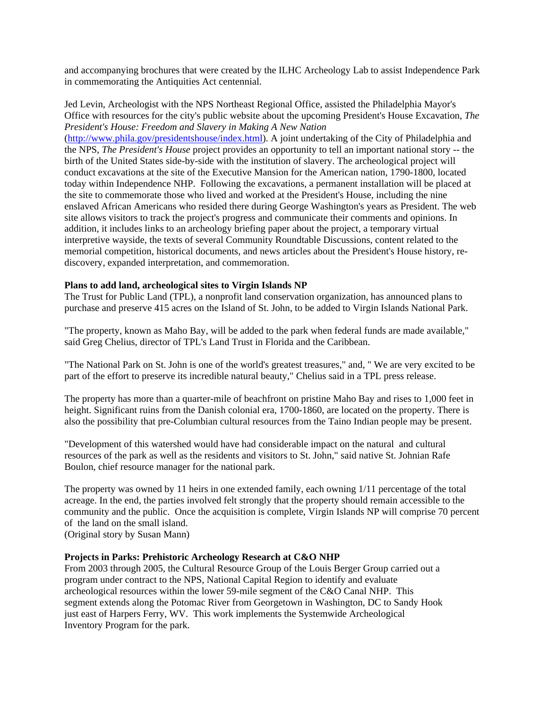and accompanying brochures that were created by the ILHC Archeology Lab to assist Independence Park in commemorating the Antiquities Act centennial.

Jed Levin, Archeologist with the NPS Northeast Regional Office, assisted the Philadelphia Mayor's Office with resources for the city's public website about the upcoming President's House Excavation, *The President's House: Freedom and Slavery in Making A New Nation* 

(<http://www.phila.gov/presidentshouse/index.html>). A joint undertaking of the City of Philadelphia and the NPS, *The President's House* project provides an opportunity to tell an important national story -- the birth of the United States side-by-side with the institution of slavery. The archeological project will conduct excavations at the site of the Executive Mansion for the American nation, 1790-1800, located today within Independence NHP. Following the excavations, a permanent installation will be placed at the site to commemorate those who lived and worked at the President's House, including the nine enslaved African Americans who resided there during George Washington's years as President. The web site allows visitors to track the project's progress and communicate their comments and opinions. In addition, it includes links to an archeology briefing paper about the project, a temporary virtual interpretive wayside, the texts of several Community Roundtable Discussions, content related to the memorial competition, historical documents, and news articles about the President's House history, rediscovery, expanded interpretation, and commemoration.

#### **Plans to add land, archeological sites to Virgin Islands NP**

The Trust for Public Land (TPL), a nonprofit land conservation organization, has announced plans to purchase and preserve 415 acres on the Island of St. John, to be added to Virgin Islands National Park.

"The property, known as Maho Bay, will be added to the park when federal funds are made available," said Greg Chelius, director of TPL's Land Trust in Florida and the Caribbean.

"The National Park on St. John is one of the world's greatest treasures," and, " We are very excited to be part of the effort to preserve its incredible natural beauty," Chelius said in a TPL press release.

The property has more than a quarter-mile of beachfront on pristine Maho Bay and rises to 1,000 feet in height. Significant ruins from the Danish colonial era, 1700-1860, are located on the property. There is also the possibility that pre-Columbian cultural resources from the Taino Indian people may be present.

"Development of this watershed would have had considerable impact on the natural and cultural resources of the park as well as the residents and visitors to St. John," said native St. Johnian Rafe Boulon, chief resource manager for the national park.

The property was owned by 11 heirs in one extended family, each owning 1/11 percentage of the total acreage. In the end, the parties involved felt strongly that the property should remain accessible to the community and the public. Once the acquisition is complete, Virgin Islands NP will comprise 70 percent of the land on the small island.

(Original story by Susan Mann)

#### **Projects in Parks: Prehistoric Archeology Research at C&O NHP**

From 2003 through 2005, the Cultural Resource Group of the Louis Berger Group carried out a program under contract to the NPS, National Capital Region to identify and evaluate archeological resources within the lower 59-mile segment of the C&O Canal NHP. This segment extends along the Potomac River from Georgetown in Washington, DC to Sandy Hook just east of Harpers Ferry, WV. This work implements the Systemwide Archeological Inventory Program for the park.